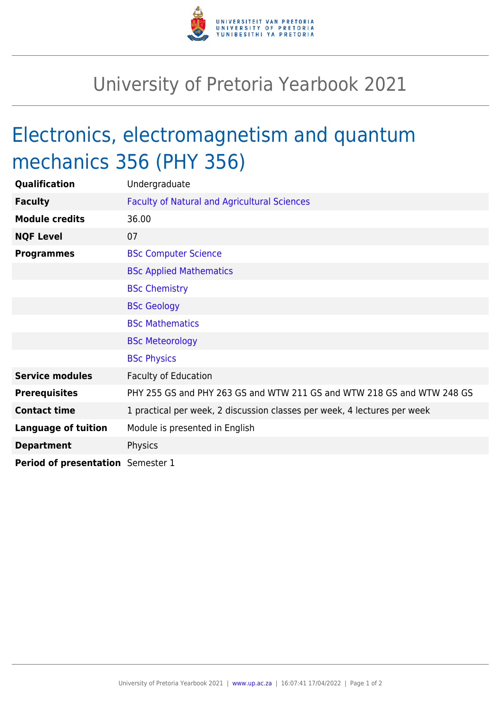

## University of Pretoria Yearbook 2021

## Electronics, electromagnetism and quantum mechanics 356 (PHY 356)

| Qualification                     | Undergraduate                                                            |
|-----------------------------------|--------------------------------------------------------------------------|
| <b>Faculty</b>                    | <b>Faculty of Natural and Agricultural Sciences</b>                      |
| <b>Module credits</b>             | 36.00                                                                    |
| <b>NQF Level</b>                  | 07                                                                       |
| <b>Programmes</b>                 | <b>BSc Computer Science</b>                                              |
|                                   | <b>BSc Applied Mathematics</b>                                           |
|                                   | <b>BSc Chemistry</b>                                                     |
|                                   | <b>BSc Geology</b>                                                       |
|                                   | <b>BSc Mathematics</b>                                                   |
|                                   | <b>BSc Meteorology</b>                                                   |
|                                   | <b>BSc Physics</b>                                                       |
| <b>Service modules</b>            | <b>Faculty of Education</b>                                              |
| <b>Prerequisites</b>              | PHY 255 GS and PHY 263 GS and WTW 211 GS and WTW 218 GS and WTW 248 GS   |
| <b>Contact time</b>               | 1 practical per week, 2 discussion classes per week, 4 lectures per week |
| <b>Language of tuition</b>        | Module is presented in English                                           |
| <b>Department</b>                 | Physics                                                                  |
| Period of presentation Semester 1 |                                                                          |